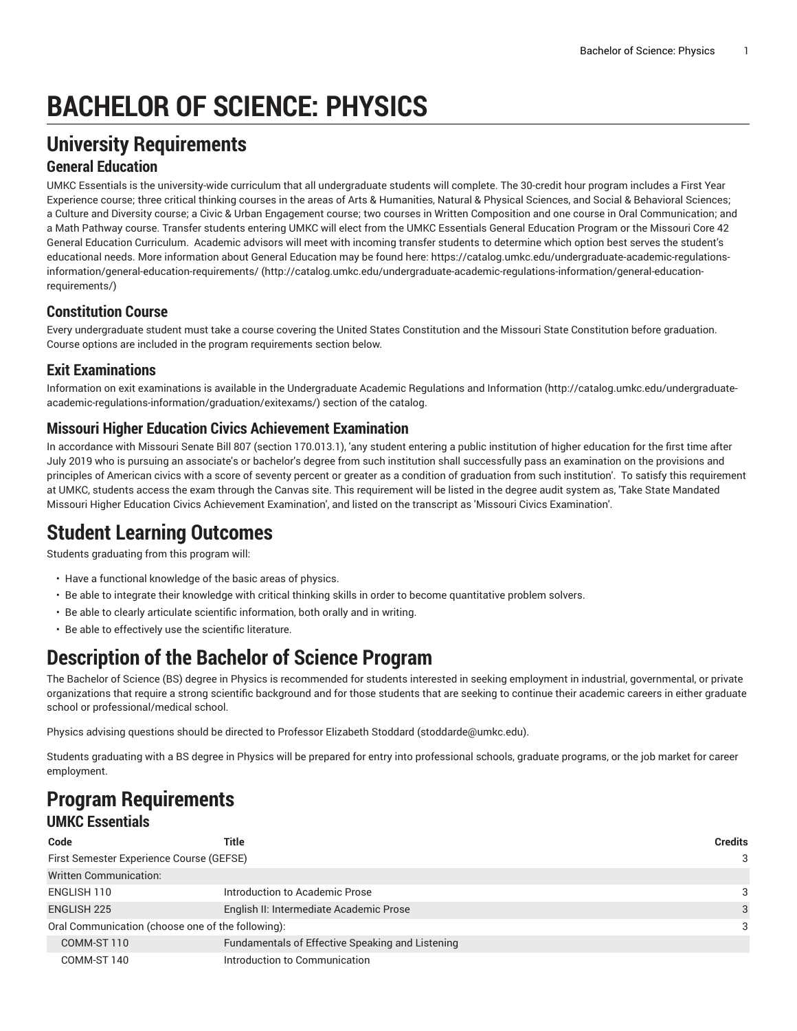# **BACHELOR OF SCIENCE: PHYSICS**

# **University Requirements**

#### **General Education**

UMKC Essentials is the university-wide curriculum that all undergraduate students will complete. The 30-credit hour program includes a First Year Experience course; three critical thinking courses in the areas of Arts & Humanities, Natural & Physical Sciences, and Social & Behavioral Sciences; a Culture and Diversity course; a Civic & Urban Engagement course; two courses in Written Composition and one course in Oral Communication; and a Math Pathway course. Transfer students entering UMKC will elect from the UMKC Essentials General Education Program or the Missouri Core 42 General Education Curriculum. Academic advisors will meet with incoming transfer students to determine which option best serves the student's educational needs. More information about General Education may be found here: [https://catalog.umkc.edu/undergraduate-academic-regulations](http://catalog.umkc.edu/undergraduate-academic-regulations-information/general-education-requirements/)[information/general-education-requirements/](http://catalog.umkc.edu/undergraduate-academic-regulations-information/general-education-requirements/) ([http://catalog.umkc.edu/undergraduate-academic-regulations-information/general-education](http://catalog.umkc.edu/undergraduate-academic-regulations-information/general-education-requirements/)[requirements/\)](http://catalog.umkc.edu/undergraduate-academic-regulations-information/general-education-requirements/)

#### **Constitution Course**

Every undergraduate student must take a course covering the United States Constitution and the Missouri State Constitution before graduation. Course options are included in the program requirements section below.

#### **Exit Examinations**

Information on exit examinations is available in the [Undergraduate](http://catalog.umkc.edu/undergraduate-academic-regulations-information/graduation/exitexams/) Academic Regulations and Information [\(http://catalog.umkc.edu/undergraduate](http://catalog.umkc.edu/undergraduate-academic-regulations-information/graduation/exitexams/)[academic-regulations-information/graduation/exitexams/](http://catalog.umkc.edu/undergraduate-academic-regulations-information/graduation/exitexams/)) section of the catalog.

#### **Missouri Higher Education Civics Achievement Examination**

In accordance with Missouri Senate Bill 807 (section 170.013.1), 'any student entering a public institution of higher education for the first time after July 2019 who is pursuing an associate's or bachelor's degree from such institution shall successfully pass an examination on the provisions and principles of American civics with a score of seventy percent or greater as a condition of graduation from such institution'. To satisfy this requirement at UMKC, students access the exam through the Canvas site. This requirement will be listed in the degree audit system as, 'Take State Mandated Missouri Higher Education Civics Achievement Examination', and listed on the transcript as 'Missouri Civics Examination'.

# **Student Learning Outcomes**

Students graduating from this program will:

- Have a functional knowledge of the basic areas of physics.
- Be able to integrate their knowledge with critical thinking skills in order to become quantitative problem solvers.
- Be able to clearly articulate scientific information, both orally and in writing.
- Be able to effectively use the scientific literature.

# **Description of the Bachelor of Science Program**

The Bachelor of Science (BS) degree in Physics is recommended for students interested in seeking employment in industrial, governmental, or private organizations that require a strong scientific background and for those students that are seeking to continue their academic careers in either graduate school or professional/medical school.

Physics advising questions should be directed to Professor Elizabeth Stoddard [\(stoddarde@umkc.edu\)](mailto:stoddarde@umkc.edu).

Students graduating with a BS degree in Physics will be prepared for entry into professional schools, graduate programs, or the job market for career employment.

#### **Program Requirements UMKC Essentials**

| Code                                              | Title                                            | <b>Credits</b> |
|---------------------------------------------------|--------------------------------------------------|----------------|
| First Semester Experience Course (GEFSE)          |                                                  |                |
| <b>Written Communication:</b>                     |                                                  |                |
| ENGLISH 110                                       | Introduction to Academic Prose                   | 3              |
| <b>ENGLISH 225</b>                                | English II: Intermediate Academic Prose          | 3              |
| Oral Communication (choose one of the following): |                                                  |                |
| COMM-ST 110                                       | Fundamentals of Effective Speaking and Listening |                |
| COMM-ST 140                                       | Introduction to Communication                    |                |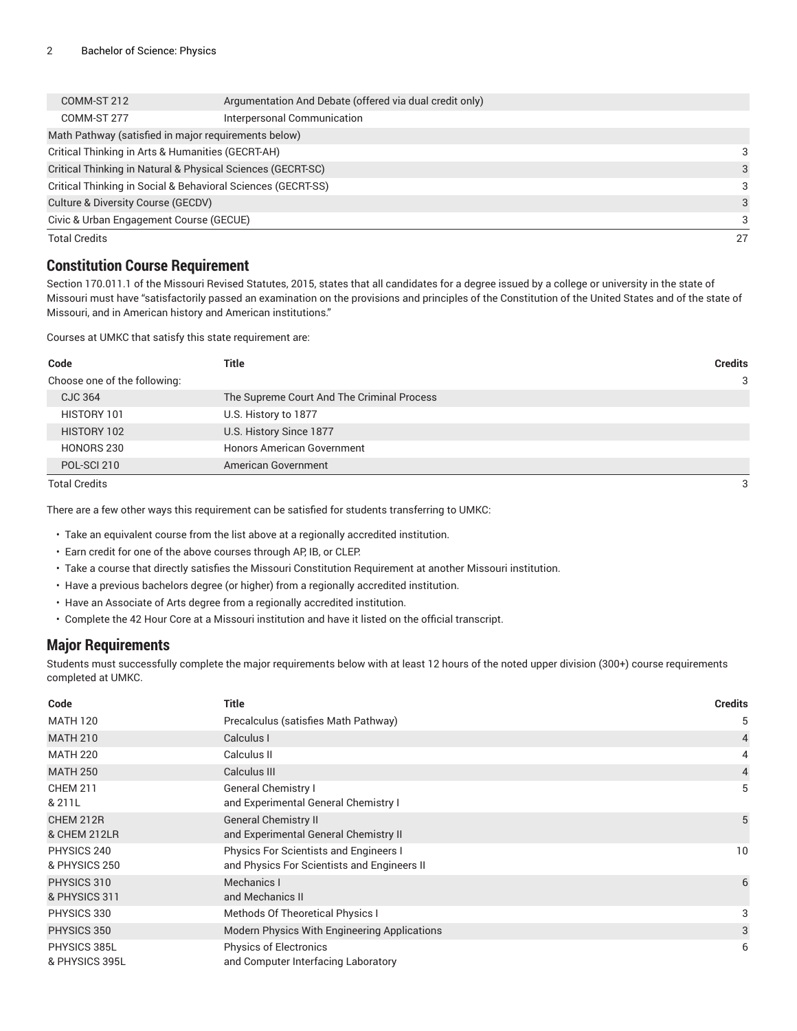| COMM-ST 212                                       | Argumentation And Debate (offered via dual credit only)      |    |
|---------------------------------------------------|--------------------------------------------------------------|----|
| COMM-ST 277                                       | Interpersonal Communication                                  |    |
|                                                   | Math Pathway (satisfied in major requirements below)         |    |
| Critical Thinking in Arts & Humanities (GECRT-AH) |                                                              | 3  |
|                                                   | Critical Thinking in Natural & Physical Sciences (GECRT-SC)  | 3  |
|                                                   | Critical Thinking in Social & Behavioral Sciences (GECRT-SS) | 3  |
| Culture & Diversity Course (GECDV)                |                                                              |    |
| Civic & Urban Engagement Course (GECUE)           |                                                              |    |
| <b>Total Credits</b>                              |                                                              | 27 |

#### **Constitution Course Requirement**

Section 170.011.1 of the Missouri Revised Statutes, 2015, states that all candidates for a degree issued by a college or university in the state of Missouri must have "satisfactorily passed an examination on the provisions and principles of the Constitution of the United States and of the state of Missouri, and in American history and American institutions."

Courses at UMKC that satisfy this state requirement are:

| Title                                                                                                      | <b>Credits</b> |
|------------------------------------------------------------------------------------------------------------|----------------|
|                                                                                                            | 3              |
| The Supreme Court And The Criminal Process                                                                 |                |
| U.S. History to 1877                                                                                       |                |
| U.S. History Since 1877                                                                                    |                |
| <b>Honors American Government</b>                                                                          |                |
| American Government                                                                                        |                |
| Code<br>Choose one of the following:<br>CJC 364<br>HISTORY 101<br>HISTORY 102<br>HONORS 230<br>POL-SCI 210 |                |

Total Credits 3

There are a few other ways this requirement can be satisfied for students transferring to UMKC:

• Take an equivalent course from the list above at a regionally accredited institution.

- Earn credit for one of the above courses through AP, IB, or CLEP.
- Take a course that directly satisfies the Missouri Constitution Requirement at another Missouri institution.
- Have a previous bachelors degree (or higher) from a regionally accredited institution.
- Have an Associate of Arts degree from a regionally accredited institution.
- Complete the 42 Hour Core at a Missouri institution and have it listed on the official transcript.

#### **Major Requirements**

Students must successfully complete the major requirements below with at least 12 hours of the noted upper division (300+) course requirements completed at UMKC.

| Code                           | Title                                                                                 | <b>Credits</b> |
|--------------------------------|---------------------------------------------------------------------------------------|----------------|
| <b>MATH 120</b>                | Precalculus (satisfies Math Pathway)                                                  | 5              |
| <b>MATH 210</b>                | Calculus I                                                                            | $\overline{4}$ |
| <b>MATH 220</b>                | Calculus II                                                                           | 4              |
| <b>MATH 250</b>                | Calculus III                                                                          | $\overline{4}$ |
| <b>CHEM 211</b><br>& 211L      | <b>General Chemistry I</b><br>and Experimental General Chemistry I                    | 5              |
| CHEM 212R<br>& CHEM 212LR      | <b>General Chemistry II</b><br>and Experimental General Chemistry II                  | 5              |
| PHYSICS 240<br>& PHYSICS 250   | Physics For Scientists and Engineers I<br>and Physics For Scientists and Engineers II | 10             |
| PHYSICS 310<br>& PHYSICS 311   | Mechanics I<br>and Mechanics II                                                       | 6              |
| PHYSICS 330                    | Methods Of Theoretical Physics I                                                      | 3              |
| PHYSICS 350                    | Modern Physics With Engineering Applications                                          | 3              |
| PHYSICS 385L<br>& PHYSICS 395L | <b>Physics of Electronics</b><br>and Computer Interfacing Laboratory                  | 6              |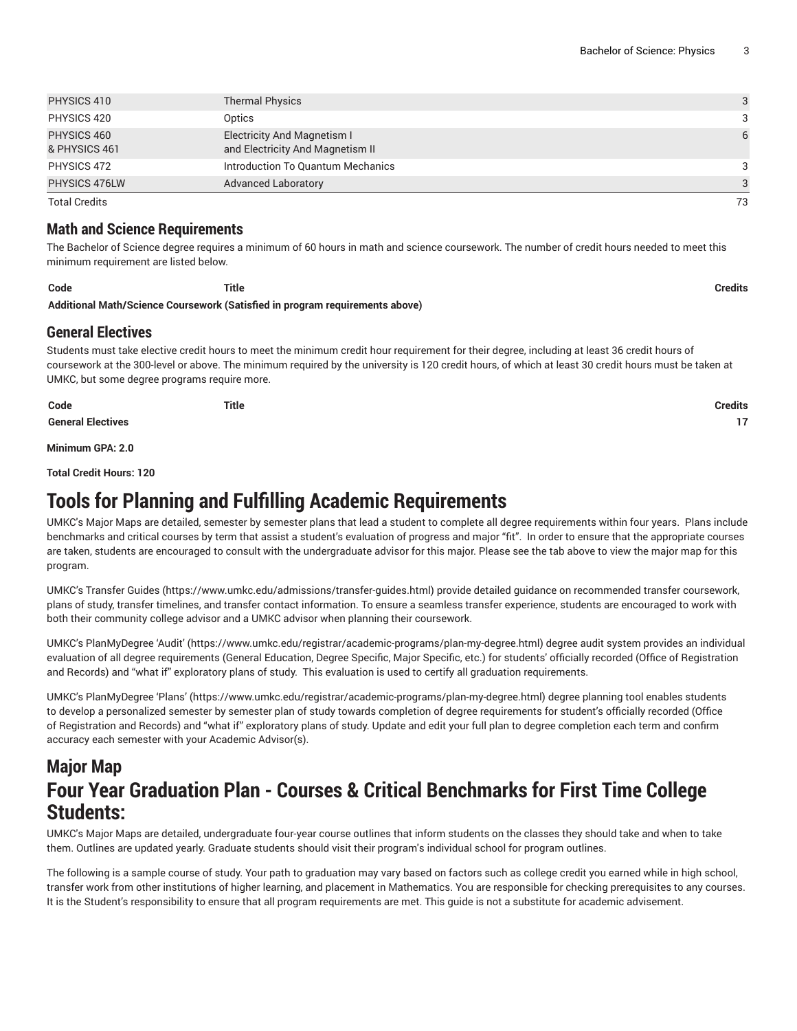| PHYSICS 410                  | <b>Thermal Physics</b>                                                 | 3  |
|------------------------------|------------------------------------------------------------------------|----|
| PHYSICS 420                  | Optics                                                                 | 3  |
| PHYSICS 460<br>& PHYSICS 461 | <b>Electricity And Magnetism I</b><br>and Electricity And Magnetism II | 6  |
| PHYSICS 472                  | Introduction To Quantum Mechanics                                      | 3  |
| PHYSICS 476LW                | <b>Advanced Laboratory</b>                                             | 3  |
| <b>Total Credits</b>         |                                                                        | 73 |

**Math and Science Requirements**

The Bachelor of Science degree requires a minimum of 60 hours in math and science coursework. The number of credit hours needed to meet this minimum requirement are listed below.

**Code Title Credits Additional Math/Science Coursework (Satisfied in program requirements above)**

#### **General Electives**

Students must take elective credit hours to meet the minimum credit hour requirement for their degree, including at least 36 credit hours of coursework at the 300-level or above. The minimum required by the university is 120 credit hours, of which at least 30 credit hours must be taken at UMKC, but some degree programs require more.

| Code                     | <b>Title</b> | <b>Credits</b> |
|--------------------------|--------------|----------------|
| <b>General Electives</b> |              | 17             |

**Minimum GPA: 2.0**

**Total Credit Hours: 120**

# **Tools for Planning and Fulfilling Academic Requirements**

UMKC's Major Maps are detailed, semester by semester plans that lead a student to complete all degree requirements within four years. Plans include benchmarks and critical courses by term that assist a student's evaluation of progress and major "fit". In order to ensure that the appropriate courses are taken, students are encouraged to consult with the undergraduate advisor for this major. Please see the tab above to view the major map for this program.

UMKC's [Transfer](https://www.umkc.edu/admissions/transfer-guides.html) Guides [\(https://www.umkc.edu/admissions/transfer-guides.html](https://www.umkc.edu/admissions/transfer-guides.html)) provide detailed guidance on recommended transfer coursework, plans of study, transfer timelines, and transfer contact information. To ensure a seamless transfer experience, students are encouraged to work with both their community college advisor and a UMKC advisor when planning their coursework.

UMKC's [PlanMyDegree](https://www.umkc.edu/registrar/academic-programs/plan-my-degree.html) 'Audit' ([https://www.umkc.edu/registrar/academic-programs/plan-my-degree.html\)](https://www.umkc.edu/registrar/academic-programs/plan-my-degree.html) degree audit system provides an individual evaluation of all degree requirements (General Education, Degree Specific, Major Specific, etc.) for students' officially recorded (Office of Registration and Records) and "what if" exploratory plans of study. This evaluation is used to certify all graduation requirements.

UMKC's [PlanMyDegree](https://www.umkc.edu/registrar/academic-programs/plan-my-degree.html) 'Plans' [\(https://www.umkc.edu/registrar/academic-programs/plan-my-degree.html\)](https://www.umkc.edu/registrar/academic-programs/plan-my-degree.html) degree planning tool enables students to develop a personalized semester by semester plan of study towards completion of degree requirements for student's officially recorded (Office of Registration and Records) and "what if" exploratory plans of study. Update and edit your full plan to degree completion each term and confirm accuracy each semester with your Academic Advisor(s).

### **Major Map Four Year Graduation Plan - Courses & Critical Benchmarks for First Time College Students:**

UMKC's Major Maps are detailed, undergraduate four-year course outlines that inform students on the classes they should take and when to take them. Outlines are updated yearly. Graduate students should visit their program's individual school for program outlines.

The following is a sample course of study. Your path to graduation may vary based on factors such as college credit you earned while in high school, transfer work from other institutions of higher learning, and placement in Mathematics. You are responsible for checking prerequisites to any courses. It is the Student's responsibility to ensure that all program requirements are met. This guide is not a substitute for academic advisement.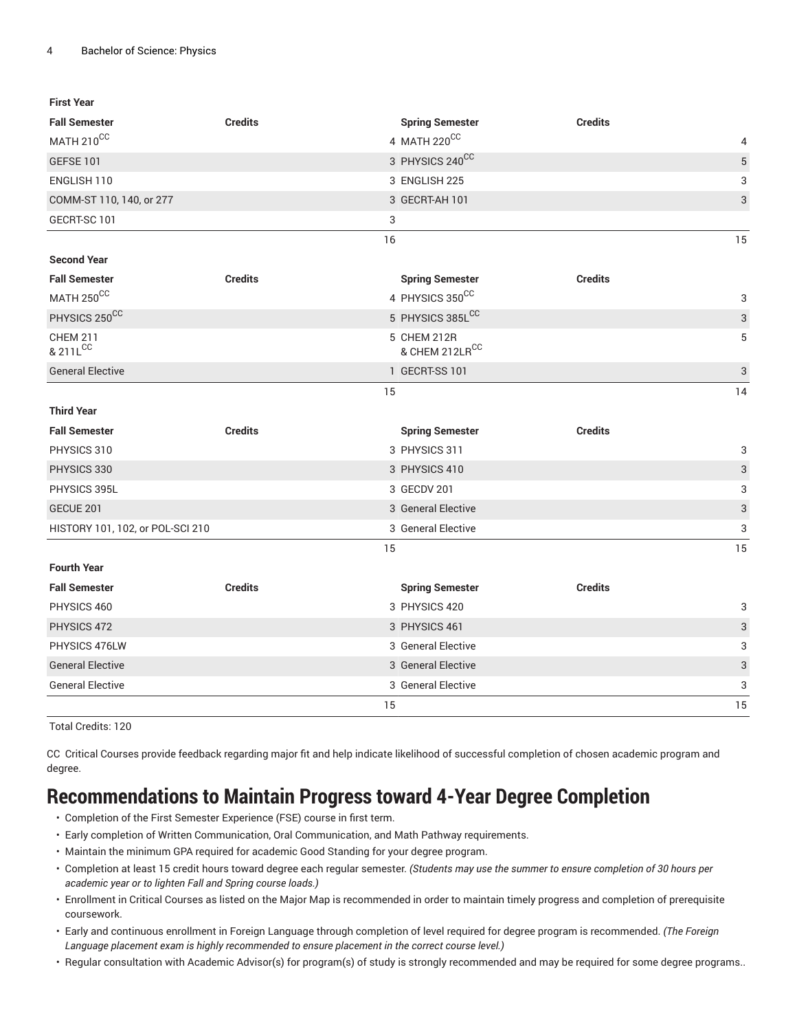| <b>First Year</b>                |                |                        |                           |
|----------------------------------|----------------|------------------------|---------------------------|
| <b>Fall Semester</b>             | <b>Credits</b> | <b>Spring Semester</b> | <b>Credits</b>            |
| MATH 210CC                       |                | 4 MATH 220CC           | 4                         |
| <b>GEFSE 101</b>                 |                | 3 PHYSICS 240CC        | $\sqrt{5}$                |
| ENGLISH 110                      |                | 3 ENGLISH 225          | $\ensuremath{\mathsf{3}}$ |
| COMM-ST 110, 140, or 277         |                | 3 GECRT-AH 101         | $\ensuremath{\mathsf{3}}$ |
| GECRT-SC 101                     | 3              |                        |                           |
|                                  | 16             |                        | 15                        |
| <b>Second Year</b>               |                |                        |                           |
| <b>Fall Semester</b>             | <b>Credits</b> | <b>Spring Semester</b> | <b>Credits</b>            |
| MATH 250CC                       |                | 4 PHYSICS 350CC        | 3                         |
| PHYSICS 250CC                    |                | 5 PHYSICS 385LCC       | $\ensuremath{\mathsf{3}}$ |
| <b>CHEM 211</b>                  |                | 5 CHEM 212R            | 5                         |
| & 211LCC                         |                | & CHEM 212LRCC         |                           |
| <b>General Elective</b>          |                | 1 GECRT-SS 101         | $\ensuremath{\mathsf{3}}$ |
|                                  | 15             |                        | 14                        |
| <b>Third Year</b>                |                |                        |                           |
| <b>Fall Semester</b>             | <b>Credits</b> | <b>Spring Semester</b> | <b>Credits</b>            |
| PHYSICS 310                      |                | 3 PHYSICS 311          | 3                         |
| PHYSICS 330                      |                | 3 PHYSICS 410          | $\ensuremath{\mathsf{3}}$ |
| PHYSICS 395L                     |                | 3 GECDV 201            | 3                         |
| GECUE 201                        |                | 3 General Elective     | $\ensuremath{\mathsf{3}}$ |
| HISTORY 101, 102, or POL-SCI 210 |                | 3 General Elective     | 3                         |
|                                  | 15             |                        | 15                        |
| <b>Fourth Year</b>               |                |                        |                           |
| <b>Fall Semester</b>             | <b>Credits</b> | <b>Spring Semester</b> | <b>Credits</b>            |
| PHYSICS 460                      |                | 3 PHYSICS 420          | 3                         |
| PHYSICS 472                      |                | 3 PHYSICS 461          | $\sqrt{3}$                |
| PHYSICS 476LW                    |                | 3 General Elective     | 3                         |
| <b>General Elective</b>          |                | 3 General Elective     | $\sqrt{3}$                |
| <b>General Elective</b>          |                | 3 General Elective     | 3                         |
|                                  | 15             |                        | 15                        |

Total Credits: 120

CC Critical Courses provide feedback regarding major fit and help indicate likelihood of successful completion of chosen academic program and degree.

# **Recommendations to Maintain Progress toward 4-Year Degree Completion**

- Completion of the First Semester Experience (FSE) course in first term.
- Early completion of Written Communication, Oral Communication, and Math Pathway requirements.
- Maintain the minimum GPA required for academic Good Standing for your degree program.
- Completion at least 15 credit hours toward degree each regular semester. *(Students may use the summer to ensure completion of 30 hours per academic year or to lighten Fall and Spring course loads.)*
- Enrollment in Critical Courses as listed on the Major Map is recommended in order to maintain timely progress and completion of prerequisite coursework.
- Early and continuous enrollment in Foreign Language through completion of level required for degree program is recommended. *(The Foreign Language placement exam is highly recommended to ensure placement in the correct course level.)*
- Regular consultation with Academic Advisor(s) for program(s) of study is strongly recommended and may be required for some degree programs..